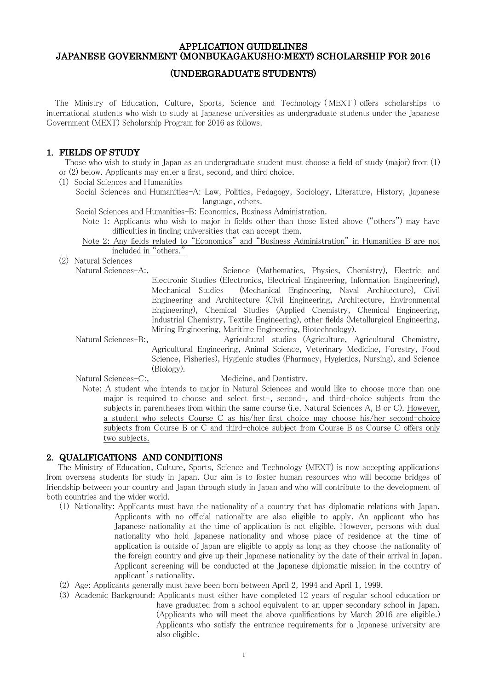#### APPLICATION GUIDELINES JAPANESE GOVERNMENT (MONBUKAGAKUSHO:MEXT) SCHOLARSHIP FOR 2016

# (UNDERGRADUATE STUDENTS)

The Ministry of Education, Culture, Sports, Science and Technology ( MEXT ) offers scholarships to international students who wish to study at Japanese universities as undergraduate students under the Japanese Government (MEXT) Scholarship Program for 2016 as follows.

# 1. FIELDS OF STUDY

 Those who wish to study in Japan as an undergraduate student must choose a field of study (major) from (1) or (2) below. Applicants may enter a first, second, and third choice.

- (1) Social Sciences and Humanities
	- Social Sciences and Humanities-A: Law, Politics, Pedagogy, Sociology, Literature, History, Japanese language, others.

Social Sciences and Humanities-B: Economics, Business Administration.

- Note 1: Applicants who wish to major in fields other than those listed above ("others") may have difficulties in finding universities that can accept them.
- Note 2: Any fields related to "Economics" and "Business Administration" in Humanities B are not included in "others."

(2) Natural Sciences

- Natural Sciences-A:, Science (Mathematics, Physics, Chemistry), Electric and Electronic Studies (Electronics, Electrical Engineering, Information Engineering), Mechanical Studies (Mechanical Engineering, Naval Architecture), Civil Engineering and Architecture (Civil Engineering, Architecture, Environmental Engineering), Chemical Studies (Applied Chemistry, Chemical Engineering, Industrial Chemistry, Textile Engineering), other fields (Metallurgical Engineering, Mining Engineering, Maritime Engineering, Biotechnology).
- Natural Sciences-B:, Agricultural studies (Agriculture, Agricultural Chemistry, Agricultural Engineering, Animal Science, Veterinary Medicine, Forestry, Food Science, Fisheries), Hygienic studies (Pharmacy, Hygienics, Nursing), and Science (Biology).

Note: A student who intends to major in Natural Sciences and would like to choose more than one major is required to choose and select first-, second-, and third-choice subjects from the subjects in parentheses from within the same course (i.e. Natural Sciences A, B or C). However, a student who selects Course C as his/her first choice may choose his/her second-choice subjects from Course B or C and third-choice subject from Course B as Course C offers only two subjects.

# 2. QUALIFICATIONS AND CONDITIONS

 The Ministry of Education, Culture, Sports, Science and Technology (MEXT) is now accepting applications from overseas students for study in Japan. Our aim is to foster human resources who will become bridges of friendship between your country and Japan through study in Japan and who will contribute to the development of both countries and the wider world.

- (1) Nationality: Applicants must have the nationality of a country that has diplomatic relations with Japan. Applicants with no official nationality are also eligible to apply. An applicant who has Japanese nationality at the time of application is not eligible. However, persons with dual nationality who hold Japanese nationality and whose place of residence at the time of application is outside of Japan are eligible to apply as long as they choose the nationality of the foreign country and give up their Japanese nationality by the date of their arrival in Japan. Applicant screening will be conducted at the Japanese diplomatic mission in the country of applicant's nationality.
- (2) Age: Applicants generally must have been born between April 2, 1994 and April 1, 1999.
- (3) Academic Background: Applicants must either have completed 12 years of regular school education or have graduated from a school equivalent to an upper secondary school in Japan. (Applicants who will meet the above qualifications by March 2016 are eligible.) Applicants who satisfy the entrance requirements for a Japanese university are also eligible.

Natural Sciences-C:, Medicine, and Dentistry.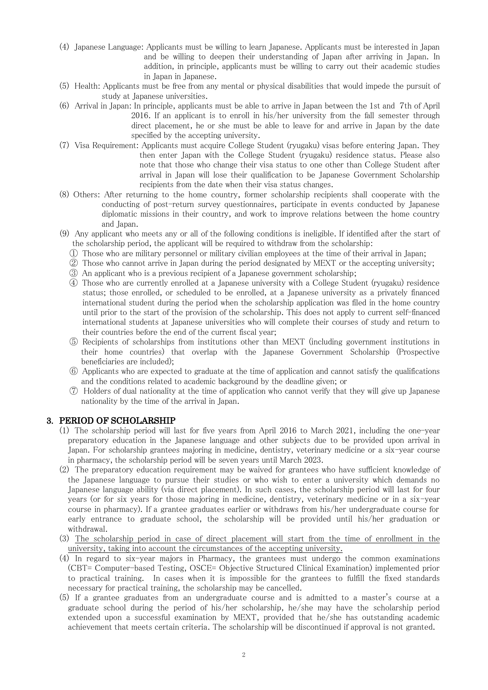- (4) Japanese Language: Applicants must be willing to learn Japanese. Applicants must be interested in Japan and be willing to deepen their understanding of Japan after arriving in Japan. In addition, in principle, applicants must be willing to carry out their academic studies in Japan in Japanese.
- (5) Health: Applicants must be free from any mental or physical disabilities that would impede the pursuit of study at Japanese universities.
- (6) Arrival in Japan: In principle, applicants must be able to arrive in Japan between the 1st and 7th of April 2016. If an applicant is to enroll in his/her university from the fall semester through direct placement, he or she must be able to leave for and arrive in Japan by the date specified by the accepting university.
- (7) Visa Requirement: Applicants must acquire College Student (ryugaku) visas before entering Japan. They then enter Japan with the College Student (ryugaku) residence status. Please also note that those who change their visa status to one other than College Student after arrival in Japan will lose their qualification to be Japanese Government Scholarship recipients from the date when their visa status changes.
- (8) Others: After returning to the home country, former scholarship recipients shall cooperate with the conducting of post-return survey questionnaires, participate in events conducted by Japanese diplomatic missions in their country, and work to improve relations between the home country and Japan.
- (9) Any applicant who meets any or all of the following conditions is ineligible. If identified after the start of the scholarship period, the applicant will be required to withdraw from the scholarship:
	- ① Those who are military personnel or military civilian employees at the time of their arrival in Japan;
	- ② Those who cannot arrive in Japan during the period designated by MEXT or the accepting university;
	- ③ An applicant who is a previous recipient of a Japanese government scholarship;
	- ④ Those who are currently enrolled at a Japanese university with a College Student (ryugaku) residence status; those enrolled, or scheduled to be enrolled, at a Japanese university as a privately financed international student during the period when the scholarship application was filed in the home country until prior to the start of the provision of the scholarship. This does not apply to current self-financed international students at Japanese universities who will complete their courses of study and return to their countries before the end of the current fiscal year;
	- ⑤ Recipients of scholarships from institutions other than MEXT (including government institutions in their home countries) that overlap with the Japanese Government Scholarship (Prospective beneficiaries are included);
	- ⑥ Applicants who are expected to graduate at the time of application and cannot satisfy the qualifications and the conditions related to academic background by the deadline given; or
	- ⑦ Holders of dual nationality at the time of application who cannot verify that they will give up Japanese nationality by the time of the arrival in Japan.

# 3. PERIOD OF SCHOLARSHIP

- (1) The scholarship period will last for five years from April 2016 to March 2021, including the one-year preparatory education in the Japanese language and other subjects due to be provided upon arrival in Japan. For scholarship grantees majoring in medicine, dentistry, veterinary medicine or a six-year course in pharmacy, the scholarship period will be seven years until March 2023.
- (2) The preparatory education requirement may be waived for grantees who have sufficient knowledge of the Japanese language to pursue their studies or who wish to enter a university which demands no Japanese language ability (via direct placement). In such cases, the scholarship period will last for four years (or for six years for those majoring in medicine, dentistry, veterinary medicine or in a six-year course in pharmacy). If a grantee graduates earlier or withdraws from his/her undergraduate course for early entrance to graduate school, the scholarship will be provided until his/her graduation or withdrawal.
- (3) The scholarship period in case of direct placement will start from the time of enrollment in the university, taking into account the circumstances of the accepting university.
- (4) In regard to six-year majors in Pharmacy, the grantees must undergo the common examinations (CBT= Computer-based Testing, OSCE= Objective Structured Clinical Examination) implemented prior to practical training. In cases when it is impossible for the grantees to fulfill the fixed standards necessary for practical training, the scholarship may be cancelled.
- (5) If a grantee graduates from an undergraduate course and is admitted to a master's course at a graduate school during the period of his/her scholarship, he/she may have the scholarship period extended upon a successful examination by MEXT, provided that he/she has outstanding academic achievement that meets certain criteria. The scholarship will be discontinued if approval is not granted.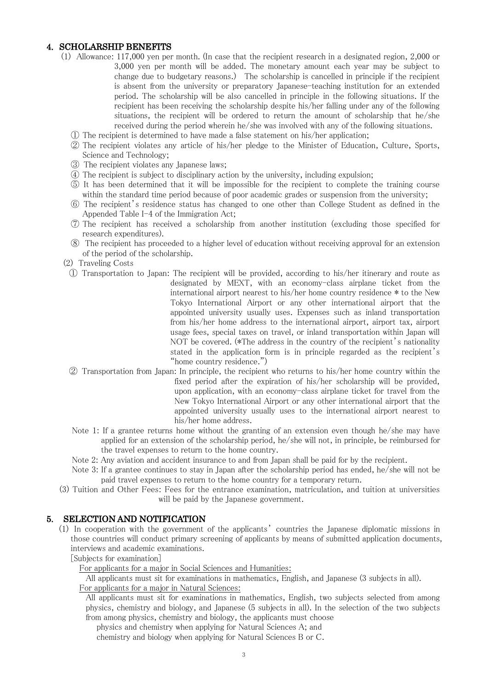# 4. SCHOLARSHIP BENEFITS

- (1) Allowance: 117,000 yen per month. (In case that the recipient research in a designated region, 2,000 or 3,000 yen per month will be added. The monetary amount each year may be subject to change due to budgetary reasons.) The scholarship is cancelled in principle if the recipient is absent from the university or preparatory Japanese-teaching institution for an extended period. The scholarship will be also cancelled in principle in the following situations. If the recipient has been receiving the scholarship despite his/her falling under any of the following situations, the recipient will be ordered to return the amount of scholarship that he/she received during the period wherein he/she was involved with any of the following situations.
	- ① The recipient is determined to have made a false statement on his/her application;
	- ② The recipient violates any article of his/her pledge to the Minister of Education, Culture, Sports, Science and Technology;
	- ③ The recipient violates any Japanese laws;
	- ④ The recipient is subject to disciplinary action by the university, including expulsion;
	- ⑤ It has been determined that it will be impossible for the recipient to complete the training course within the standard time period because of poor academic grades or suspension from the university;
	- ⑥ The recipient's residence status has changed to one other than College Student as defined in the Appended Table I-4 of the Immigration Act;
	- ⑦ The recipient has received a scholarship from another institution (excluding those specified for research expenditures).
	- ⑧ The recipient has proceeded to a higher level of education without receiving approval for an extension of the period of the scholarship.
- (2) Traveling Costs
	- ① Transportation to Japan: The recipient will be provided, according to his/her itinerary and route as
	- designated by MEXT, with an economy-class airplane ticket from the international airport nearest to his/her home country residence \* to the New Tokyo International Airport or any other international airport that the appointed university usually uses. Expenses such as inland transportation from his/her home address to the international airport, airport tax, airport usage fees, special taxes on travel, or inland transportation within Japan will NOT be covered. (\*The address in the country of the recipient's nationality stated in the application form is in principle regarded as the recipient's "home country residence.")
	- ② Transportation from Japan: In principle, the recipient who returns to his/her home country within the fixed period after the expiration of his/her scholarship will be provided, upon application, with an economy-class airplane ticket for travel from the New Tokyo International Airport or any other international airport that the appointed university usually uses to the international airport nearest to his/her home address.
	- Note 1: If a grantee returns home without the granting of an extension even though he/she may have applied for an extension of the scholarship period, he/she will not, in principle, be reimbursed for the travel expenses to return to the home country.
	- Note 2: Any aviation and accident insurance to and from Japan shall be paid for by the recipient.
	- Note 3: If a grantee continues to stay in Japan after the scholarship period has ended, he/she will not be paid travel expenses to return to the home country for a temporary return.
- (3) Tuition and Other Fees: Fees for the entrance examination, matriculation, and tuition at universities will be paid by the Japanese government.

#### 5. SELECTION AND NOTIFICATION

(1) In cooperation with the government of the applicants' countries the Japanese diplomatic missions in those countries will conduct primary screening of applicants by means of submitted application documents, interviews and academic examinations.

[Subjects for examination]

For applicants for a major in Social Sciences and Humanities:

All applicants must sit for examinations in mathematics, English, and Japanese (3 subjects in all).

For applicants for a major in Natural Sciences:

All applicants must sit for examinations in mathematics, English, two subjects selected from among physics, chemistry and biology, and Japanese (5 subjects in all). In the selection of the two subjects from among physics, chemistry and biology, the applicants must choose

physics and chemistry when applying for Natural Sciences A; and

chemistry and biology when applying for Natural Sciences B or C.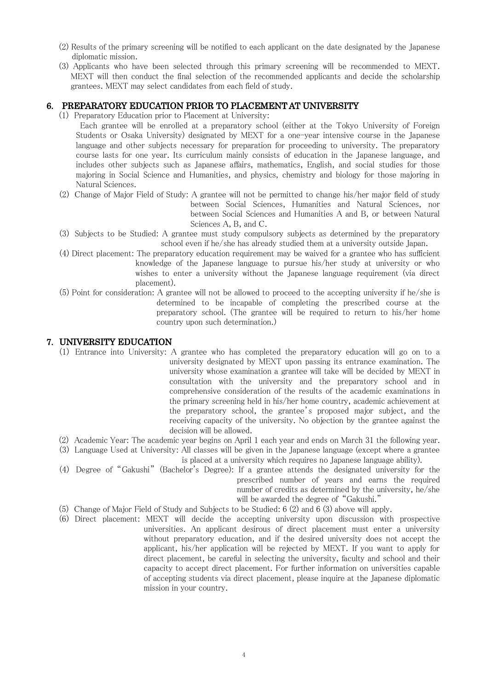- (2) Results of the primary screening will be notified to each applicant on the date designated by the Japanese diplomatic mission.
- (3) Applicants who have been selected through this primary screening will be recommended to MEXT. MEXT will then conduct the final selection of the recommended applicants and decide the scholarship grantees. MEXT may select candidates from each field of study.

### 6. PREPARATORY EDUCATION PRIOR TO PLACEMENT AT UNIVERSITY

(1) Preparatory Education prior to Placement at University:

Each grantee will be enrolled at a preparatory school (either at the Tokyo University of Foreign Students or Osaka University) designated by MEXT for a one-year intensive course in the Japanese language and other subjects necessary for preparation for proceeding to university. The preparatory course lasts for one year. Its curriculum mainly consists of education in the Japanese language, and includes other subjects such as Japanese affairs, mathematics, English, and social studies for those majoring in Social Science and Humanities, and physics, chemistry and biology for those majoring in Natural Sciences.

- (2) Change of Major Field of Study: A grantee will not be permitted to change his/her major field of study between Social Sciences, Humanities and Natural Sciences, nor between Social Sciences and Humanities A and B, or between Natural Sciences A, B, and C.
- (3) Subjects to be Studied: A grantee must study compulsory subjects as determined by the preparatory school even if he/she has already studied them at a university outside Japan.
- (4) Direct placement: The preparatory education requirement may be waived for a grantee who has sufficient knowledge of the Japanese language to pursue his/her study at university or who wishes to enter a university without the Japanese language requirement (via direct placement).
- (5) Point for consideration: A grantee will not be allowed to proceed to the accepting university if he/she is determined to be incapable of completing the prescribed course at the preparatory school. (The grantee will be required to return to his/her home country upon such determination.)

### 7. UNIVERSITY EDUCATION

- (1) Entrance into University: A grantee who has completed the preparatory education will go on to a university designated by MEXT upon passing its entrance examination. The university whose examination a grantee will take will be decided by MEXT in consultation with the university and the preparatory school and in comprehensive consideration of the results of the academic examinations in the primary screening held in his/her home country, academic achievement at the preparatory school, the grantee's proposed major subject, and the receiving capacity of the university. No objection by the grantee against the decision will be allowed.
- (2) Academic Year: The academic year begins on April 1 each year and ends on March 31 the following year.
- (3) Language Used at University: All classes will be given in the Japanese language (except where a grantee
- is placed at a university which requires no Japanese language ability). (4) Degree of "Gakushi" (Bachelor's Degree): If a grantee attends the designated university for the prescribed number of years and earns the required number of credits as determined by the university, he/she will be awarded the degree of "Gakushi."
- (5) Change of Major Field of Study and Subjects to be Studied: 6 (2) and 6 (3) above will apply.
- (6) Direct placement: MEXT will decide the accepting university upon discussion with prospective universities. An applicant desirous of direct placement must enter a university without preparatory education, and if the desired university does not accept the applicant, his/her application will be rejected by MEXT. If you want to apply for direct placement, be careful in selecting the university, faculty and school and their capacity to accept direct placement. For further information on universities capable of accepting students via direct placement, please inquire at the Japanese diplomatic mission in your country.